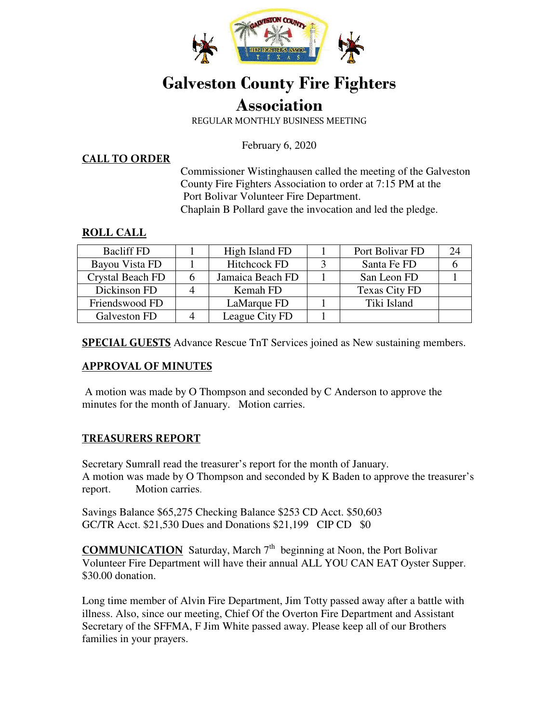

# **Galveston County Fire Fighters**

# **Association**

REGULAR MONTHLY BUSINESS MEETING

February 6, 2020

**CALL TO ORDER**

Commissioner Wistinghausen called the meeting of the Galveston County Fire Fighters Association to order at 7:15 PM at the Port Bolivar Volunteer Fire Department. Chaplain B Pollard gave the invocation and led the pledge.

#### **ROLL CALL**

| <b>Bacliff FD</b> |   | High Island FD      | Port Bolivar FD | 24 |
|-------------------|---|---------------------|-----------------|----|
| Bayou Vista FD    |   | <b>Hitchcock FD</b> | Santa Fe FD     |    |
| Crystal Beach FD  | h | Jamaica Beach FD    | San Leon FD     |    |
| Dickinson FD      |   | Kemah FD            | Texas City FD   |    |
| Friendswood FD    |   | LaMarque FD         | Tiki Island     |    |
| Galveston FD      |   | League City FD      |                 |    |

**SPECIAL GUESTS** Advance Rescue TnT Services joined as New sustaining members.

#### **APPROVAL OF MINUTES**

 A motion was made by O Thompson and seconded by C Anderson to approve the minutes for the month of January. Motion carries.

### **TREASURERS REPORT**

Secretary Sumrall read the treasurer's report for the month of January. A motion was made by O Thompson and seconded by K Baden to approve the treasurer's report. Motion carries.

Savings Balance \$65,275 Checking Balance \$253 CD Acct. \$50,603 GC/TR Acct. \$21,530 Dues and Donations \$21,199 CIP CD \$0

**COMMUNICATION** Saturday, March 7<sup>th</sup> beginning at Noon, the Port Bolivar Volunteer Fire Department will have their annual ALL YOU CAN EAT Oyster Supper. \$30.00 donation.

Long time member of Alvin Fire Department, Jim Totty passed away after a battle with illness. Also, since our meeting, Chief Of the Overton Fire Department and Assistant Secretary of the SFFMA, F Jim White passed away. Please keep all of our Brothers families in your prayers.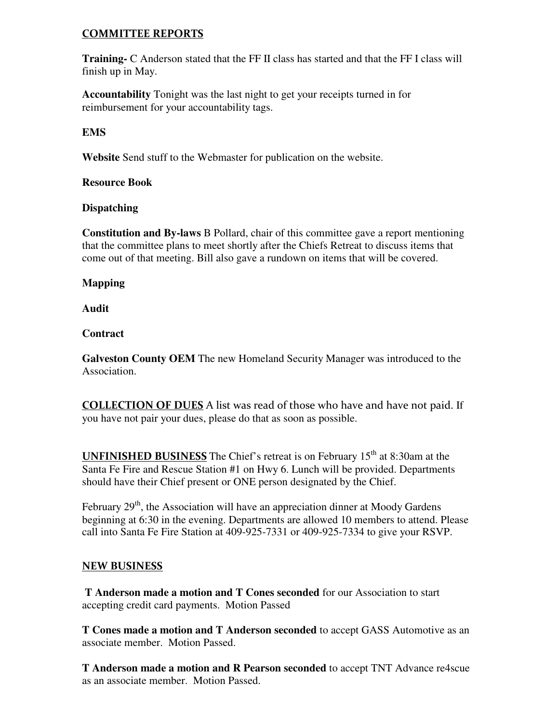#### **COMMITTEE REPORTS**

**Training-** C Anderson stated that the FF II class has started and that the FF I class will finish up in May.

**Accountability** Tonight was the last night to get your receipts turned in for reimbursement for your accountability tags.

#### **EMS**

**Website** Send stuff to the Webmaster for publication on the website.

#### **Resource Book**

#### **Dispatching**

**Constitution and By-laws** B Pollard, chair of this committee gave a report mentioning that the committee plans to meet shortly after the Chiefs Retreat to discuss items that come out of that meeting. Bill also gave a rundown on items that will be covered.

#### **Mapping**

#### **Audit**

#### **Contract**

**Galveston County OEM** The new Homeland Security Manager was introduced to the Association.

**COLLECTION OF DUES** A list was read of those who have and have not paid. If you have not pair your dues, please do that as soon as possible.

**UNFINISHED BUSINESS** The Chief's retreat is on February 15<sup>th</sup> at 8:30am at the Santa Fe Fire and Rescue Station #1 on Hwy 6. Lunch will be provided. Departments should have their Chief present or ONE person designated by the Chief.

February  $29<sup>th</sup>$ , the Association will have an appreciation dinner at Moody Gardens beginning at 6:30 in the evening. Departments are allowed 10 members to attend. Please call into Santa Fe Fire Station at 409-925-7331 or 409-925-7334 to give your RSVP.

#### **NEW BUSINESS**

**T Anderson made a motion and T Cones seconded** for our Association to start accepting credit card payments. Motion Passed

**T Cones made a motion and T Anderson seconded** to accept GASS Automotive as an associate member. Motion Passed.

**T Anderson made a motion and R Pearson seconded** to accept TNT Advance re4scue as an associate member. Motion Passed.